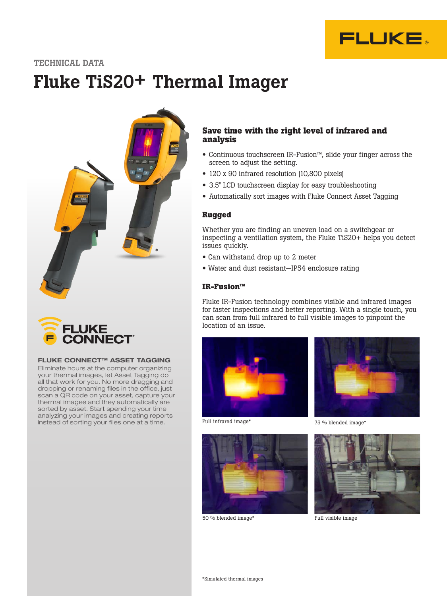

## TECHNICAL DATA

# Fluke TiS20+ Thermal Imager





#### FLUKE CONNECT™ ASSET TAGGING

Eliminate hours at the computer organizing your thermal images, let Asset Tagging do all that work for you. No more dragging and dropping or renaming files in the office, just scan a QR code on your asset, capture your thermal images and they automatically are sorted by asset. Start spending your time analyzing your images and creating reports instead of sorting your files one at a time.

## **Save time with the right level of infrared and analysis**

- Continuous touchscreen IR-Fusion™, slide your finger across the screen to adjust the setting.
- 120 x 90 infrared resolution (10,800 pixels)
- 3.5" LCD touchscreen display for easy troubleshooting
- Automatically sort images with Fluke Connect Asset Tagging

## **Rugged**

Whether you are finding an uneven load on a switchgear or inspecting a ventilation system, the Fluke TiS20+ helps you detect issues quickly.

- Can withstand drop up to 2 meter
- Water and dust resistant—IP54 enclosure rating

#### **IR-Fusion™**

Fluke IR-Fusion technology combines visible and infrared images for faster inspections and better reporting. With a single touch, you can scan from full infrared to full visible images to pinpoint the location of an issue.



Full infrared image\*



75 % blended image\*



50 % blended image\* Full visible image

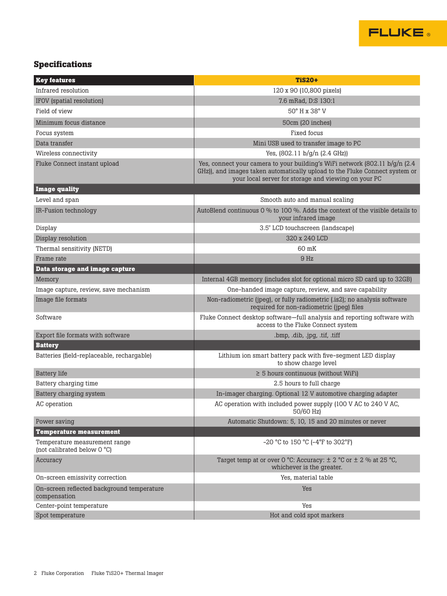

## **Specifications**

| <b>Key features</b>                                          | <b>TiS20+</b>                                                                                                                                                                                                         |
|--------------------------------------------------------------|-----------------------------------------------------------------------------------------------------------------------------------------------------------------------------------------------------------------------|
| Infrared resolution                                          | 120 x 90 (10,800 pixels)                                                                                                                                                                                              |
| IFOV (spatial resolution)                                    | 7.6 mRad, D:S 130:1                                                                                                                                                                                                   |
| Field of view                                                | 50° H x 38° V                                                                                                                                                                                                         |
| Minimum focus distance                                       | 50cm (20 inches)                                                                                                                                                                                                      |
| Focus system                                                 | Fixed focus                                                                                                                                                                                                           |
| Data transfer                                                | Mini USB used to transfer image to PC                                                                                                                                                                                 |
| Wireless connectivity                                        | Yes, $(802.11 b/g/n (2.4 GHz))$                                                                                                                                                                                       |
| Fluke Connect instant upload                                 | Yes, connect your camera to your building's WiFi network $(802.11 b/g/n)$ (2.4<br>GHz)), and images taken automatically upload to the Fluke Connect system or<br>your local server for storage and viewing on your PC |
| <b>Image quality</b>                                         |                                                                                                                                                                                                                       |
| Level and span                                               | Smooth auto and manual scaling                                                                                                                                                                                        |
| IR-Fusion technology                                         | AutoBlend continuous 0 % to 100 %. Adds the context of the visible details to<br>your infrared image                                                                                                                  |
| Display                                                      | 3.5" LCD touchscreen (landscape)                                                                                                                                                                                      |
| Display resolution                                           | 320 x 240 LCD                                                                                                                                                                                                         |
| Thermal sensitivity (NETD)                                   | 60 mK                                                                                                                                                                                                                 |
| Frame rate                                                   | 9 <sub>Hz</sub>                                                                                                                                                                                                       |
| Data storage and image capture                               |                                                                                                                                                                                                                       |
| Memory                                                       | Internal 4GB memory (includes slot for optional micro SD card up to 32GB)                                                                                                                                             |
| Image capture, review, save mechanism                        | One-handed image capture, review, and save capability                                                                                                                                                                 |
| Image file formats                                           | Non-radiometric (jpeg), or fully radiometric (.is2); no analysis software<br>required for non-radiometric (jpeg) files                                                                                                |
| Software                                                     | Fluke Connect desktop software-full analysis and reporting software with<br>access to the Fluke Connect system                                                                                                        |
| Export file formats with software                            | .bmp, .dib, .jpg, .tif, .tiff                                                                                                                                                                                         |
| <b>Battery</b>                                               |                                                                                                                                                                                                                       |
| Batteries (field-replaceable, rechargable)                   | Lithium ion smart battery pack with five-segment LED display<br>to show charge level                                                                                                                                  |
| <b>Battery</b> life                                          | $\geq$ 5 hours continuous (without WiFi)                                                                                                                                                                              |
| Battery charging time                                        | 2.5 hours to full charge                                                                                                                                                                                              |
| Battery charging system                                      | In-imager charging. Optional 12 V automotive charging adapter                                                                                                                                                         |
| AC operation                                                 | AC operation with included power supply (100 V AC to 240 V AC,<br>50/60 Hz)                                                                                                                                           |
| Power saving                                                 | Automatic Shutdown: 5, 10, 15 and 20 minutes or never                                                                                                                                                                 |
| <b>Temperature measurement</b>                               |                                                                                                                                                                                                                       |
| Temperature measurement range<br>(not calibrated below 0 °C) | -20 °C to 150 °C (-4°F to 302°F)                                                                                                                                                                                      |
| Accuracy                                                     | Target temp at or over 0 °C: Accuracy: $\pm$ 2 °C or $\pm$ 2 % at 25 °C,<br>whichever is the greater.                                                                                                                 |
| On-screen emissivity correction                              | Yes, material table                                                                                                                                                                                                   |
| On-screen reflected background temperature<br>compensation   | Yes                                                                                                                                                                                                                   |
| Center-point temperature                                     | Yes                                                                                                                                                                                                                   |
| Spot temperature                                             | Hot and cold spot markers                                                                                                                                                                                             |